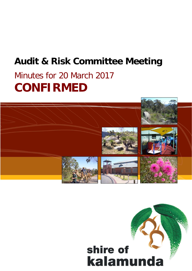# **Audit & Risk Committee Meeting**

# Minutes for 20 March 2017 **CONFIRMED**



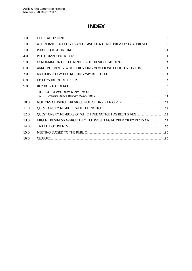# **INDEX**

| 1.0  |                                                                   |  |
|------|-------------------------------------------------------------------|--|
| 2.0  | ATTENDANCE, APOLOGIES AND LEAVE OF ABSENCE PREVIOUSLY APPROVED3   |  |
| 3.0  |                                                                   |  |
| 4.0  |                                                                   |  |
| 5.0  |                                                                   |  |
| 6.0  | ANNOUNCEMENTS BY THE PRESIDING MEMBER WITHOUT DISCUSSION 4        |  |
| 7.0  |                                                                   |  |
| 8.0  |                                                                   |  |
| 9.0  |                                                                   |  |
|      | $01$ .<br>02.                                                     |  |
| 10.0 |                                                                   |  |
| 11.0 |                                                                   |  |
| 12.0 |                                                                   |  |
| 13.0 | URGENT BUSINESS APPROVED BY THE PRESIDING MEMBER OR BY DECISION29 |  |
| 14.0 |                                                                   |  |
| 15.0 |                                                                   |  |
| 16.0 |                                                                   |  |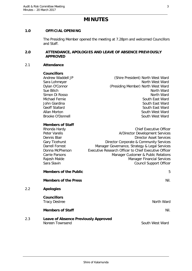### **MINUTES**

#### <span id="page-2-0"></span>**1.0 OFFICIAL OPENING**

The Presiding Member opened the meeting at 7.28pm and welcomed Councillors and Staff.

#### <span id="page-2-1"></span>**2.0 ATTENDANCE, APOLOGIES AND LEAVE OF ABSENCE PREVIOUSLY APPROVED**

#### 2.1 **Attendance**

2.2 **Apologies**

#### **Councillors**

Andrew Waddell JP (Shire President) North West Ward Sara Lohmeyer North West Ward Dylan O'Connor (Presiding Member) North West Ward Sue Bilich North Ward Simon Di Rosso North Ward Michael Fernie South East Ward John Giardina South East Ward Geoff Stallard South East Ward Allan Morton **South West Ward** Brooke O'Donnell **South West Ward** 

#### **Members of Staff**

|     | Rhonda Hardy                                | <b>Chief Executive Officer</b>                        |
|-----|---------------------------------------------|-------------------------------------------------------|
|     | Peter Varelis                               | A/Director Development Services                       |
|     | Dennis Blair                                | Director Asset Services                               |
|     | Gary Ticehurst                              | Director Corporate & Community Services               |
|     | <b>Darrell Forrest</b>                      | Manager Governance, Strategy & Legal Services         |
|     | Donna McPherson                             | Executive Research Officer to Chief Executive Officer |
|     | <b>Carrie Parsons</b>                       | Manager Customer & Public Relations                   |
|     | Rajesh Malde                                | <b>Manager Financial Services</b>                     |
|     | Sara Slavin                                 | <b>Council Support Officer</b>                        |
|     | <b>Members of the Public</b>                | 5                                                     |
|     | <b>Members of the Press</b>                 | Nil.                                                  |
| 2.2 | <b>Apologies</b>                            |                                                       |
|     | <b>Councillors</b>                          |                                                       |
|     | <b>Tracy Destree</b>                        | North Ward                                            |
|     | <b>Members of Staff</b>                     | Nil.                                                  |
| 2.3 | <b>Leave of Absence Previously Approved</b> |                                                       |
|     | Noreen Townsend                             | South West Ward                                       |
|     |                                             |                                                       |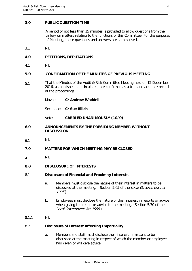#### <span id="page-3-0"></span>**3.0 PUBLIC QUESTION TIME**

A period of not less than 15 minutes is provided to allow questions from the gallery on matters relating to the functions of this Committee. For the purposes of Minuting, these questions and answers are summarised.

3.1 Nil.

#### <span id="page-3-1"></span>**4.0 PETITIONS/DEPUTATIONS**

4.1 Nil.

#### <span id="page-3-2"></span>**5.0 CONFIRMATION OF THE MINUTES OF PREVIOUS MEETING**

- 5.1 That the Minutes of the Audit & Risk Committee Meeting held on 12 December 2016, as published and circulated, are confirmed as a true and accurate record of the proceedings.
	- Moved: **Cr Andrew Waddell**

Seconded: **Cr Sue Bilich**

Vote: **CARRIED UNANIMOUSLY (10/0)**

#### <span id="page-3-3"></span>**6.0 ANNOUNCEMENTS BY THE PRESIDING MEMBER WITHOUT DISCUSSION**

6.1 Nil.

#### <span id="page-3-4"></span>**7.0 MATTERS FOR WHICH MEETING MAY BE CLOSED**

4.1 Nil.

#### <span id="page-3-5"></span>**8.0 DISCLOSURE OF INTERESTS**

#### 8.1 **Disclosure of Financial and Proximity Interests**

- a. Members must disclose the nature of their interest in matters to be discussed at the meeting. (Section 5.65 of the Local Government Act 1995.)
- b. Employees must disclose the nature of their interest in reports or advice when giving the report or advice to the meeting. (Section 5.70 of the Local Government Act 1995.)
- 8.1.1 Nil.

#### 8.2 **Disclosure of Interest Affecting Impartiality**

a. Members and staff must disclose their interest in matters to be discussed at the meeting in respect of which the member or employee had given or will give advice.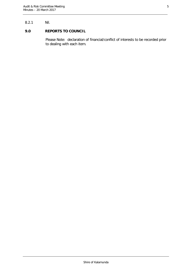#### 8.2.1 Nil.

#### <span id="page-4-0"></span>**9.0 REPORTS TO COUNCIL**

Please Note: declaration of financial/conflict of interests to be recorded prior to dealing with each item.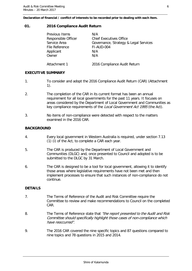**Declaration of financial / conflict of interests to be recorded prior to dealing with each item.**

#### <span id="page-5-0"></span>**01. 2016 Compliance Audit Return**

| <b>Previous Items</b> | N/A                                   |
|-----------------------|---------------------------------------|
| Responsible Officer   | Chief Executives Office               |
| Service Area          | Governance, Strategy & Legal Services |
| File Reference        | FI-AUD-004                            |
| Applicant             | N/A                                   |
| Owner                 | N/A                                   |
|                       |                                       |
| Attachment 1          | 2016 Compliance Audit Return          |
|                       |                                       |

#### **EXECUTIVE SUMMARY**

- 1. To consider and adopt the 2016 Compliance Audit Return (CAR) (Attachment 1).
- 2. The completion of the CAR in its current format has been an annual requirement for all local governments for the past 11 years. It focuses on areas considered by the Department of Local Government and Communities as key compliance requirements of the Local Government Act 1995 (the Act).
- 3. No items of non-compliance were detected with respect to the matters examined in the 2016 CAR.

#### **BACKGROUND**

- 4. Every local government in Western Australia is required, under section 7.13 (1) (i) of the Act, to complete a CAR each year.
- 5. The CAR is produced by the Department of Local Government and Communities (DLGC) and, once presented to Council and adopted is to be submitted to the DLGC by 31 March.
- 6. The CAR is designed to be a tool for local government, allowing it to identify those areas where legislative requirements have not been met and then implement processes to ensure that such instances of non-compliance do not continue.

#### **DETAILS**

- 7. The Terms of Reference of the Audit and Risk Committee require the Committee to review and make recommendations to Council on the completed CAR.
- 8. The Terms of Reference state that "the report presented to the Audit and Risk Committee should specifically highlight those cases of non-compliance which have reoccurred".
- 9. The 2016 CAR covered the nine specific topics and 87 questions compared to nine topics and 78 questions in 2015 and 2014.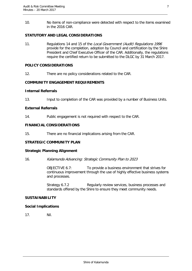10. No items of non-compliance were detected with respect to the items examined in the 2016 CAR.

#### **STATUTORY AND LEGAL CONSIDERATIONS**

11. Regulations 14 and 15 of the Local Government (Audit) Regulations 1996 provide for the completion, adoption by Council and certification by the Shire President and Chief Executive Officer of the CAR. Additionally, the regulations require the certified return to be submitted to the DLGC by 31 March 2017.

#### **POLICY CONSIDERATIONS**

12. There are no policy considerations related to the CAR.

#### **COMMUNITY ENGAGEMENT REQUIREMENTS**

#### **Internal Referrals**

13. Input to completion of the CAR was provided by a number of Business Units.

#### **External Referrals**

14. Public engagement is not required with respect to the CAR.

#### **FINANCIAL CONSIDERATIONS**

15. There are no financial implications arising from the CAR.

#### **STRATEGIC COMMUNITY PLAN**

#### **Strategic Planning Alignment**

16. Kalamunda Advancing: Strategic Community Plan to 2023

OBJECTIVE 6.7: To provide a business environment that strives for continuous improvement through the use of highly effective business systems and processes.

Strategy 6.7.2 Regularly review services, business processes and standards offered by the Shire to ensure they meet community needs.

#### **SUSTAINABILITY**

#### **Social Implications**

17. Nil.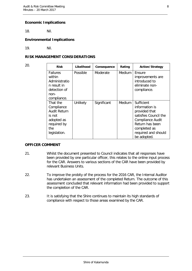#### **Economic Implications**

18. Nil.

#### **Environmental Implications**

19. Nil.

#### **RISK MANAGEMENT CONSIDERATIONS**

| 20. | <b>Risk</b>                                                                                          | Likelihood | Consequence | Rating        | <b>Action/Strategy</b>                                                                                                                                              |
|-----|------------------------------------------------------------------------------------------------------|------------|-------------|---------------|---------------------------------------------------------------------------------------------------------------------------------------------------------------------|
|     | <b>Failures</b><br>within<br>Administratio<br>n result in<br>detection of<br>non-<br>compliance.     | Possible   | Moderate    | Medium        | Ensure<br>improvements are<br>introduced to<br>eliminate non-<br>compliance.                                                                                        |
|     | That the<br>Compliance<br>Audit Return<br>is not<br>adopted as<br>required by<br>the<br>legislation. | Unlikely   | Significant | <b>Medium</b> | Sufficient<br>information is<br>provided that<br>satisfies Council the<br>Compliance Audit<br>Return has been<br>completed as<br>required and should<br>be adopted. |

#### **OFFICER COMMENT**

- 21. Whilst the document presented to Council indicates that all responses have been provided by one particular officer, this relates to the online input process for the CAR. Answers to various sections of the CAR have been provided by relevant Business Units.
- 22. To improve the probity of the process for the 2016 CAR, the Internal Auditor has undertaken an assessment of the completed Return. The outcome of this assessment concluded that relevant information had been provided to support the completion of the CAR.
- 23. It is satisfying that the Shire continues to maintain its high standards of compliance with respect to those areas examined by the CAR.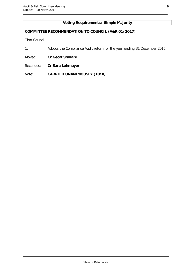#### **Voting Requirements: Simple Majority**

#### **COMMITTEE RECOMMENDATION TO COUNCIL (A&R 01/2017)**

That Council:

- 1. Adopts the Compliance Audit return for the year ending 31 December 2016.
- Moved: **Cr Geoff Stallard**
- Seconded: **Cr Sara Lohmeyer**

Vote: **CARRIED UNANIMOUSLY (10/0)**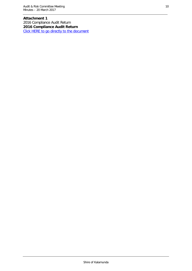**Attachment 1** 2016 Compliance Audit Return **2016 Compliance Audit Return** [Click HERE to go directly to the document](http://www.kalamunda.wa.gov.au/files/b73ab3a2-8232-4613-bdee-a73800c29c73/Item-1-Att-1-AR-20-March-2017.pdf)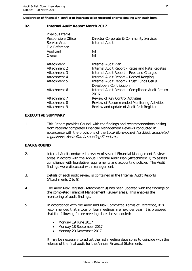**Declaration of financial / conflict of interests to be recorded prior to dealing with each item.**

#### <span id="page-10-0"></span>**02. Internal Audit Report March 2017**

| Previous Items      |                                                         |
|---------------------|---------------------------------------------------------|
| Responsible Officer | Director Corporate & Community Services                 |
| Service Area        | <b>Internal Audit</b>                                   |
| File Reference      |                                                         |
| Applicant           | Nil                                                     |
| Owner               | Nil                                                     |
| Attachment 1        | Internal Audit Plan                                     |
| Attachment 2        | Internal Audit Report - Rates and Rate Rebates          |
| Attachment 3        | Internal Audit Report - Fees and Charges                |
| Attachment 4        | Internal Audit Report - Record Keeping                  |
| Attachment 5        | Internal Audit Report - Trust Funds Cell 9              |
|                     | <b>Developers Contribution</b>                          |
| Attachment 6        | Internal Audit Report - Compliance Audit Return<br>2016 |
| Attachment 7        | Review of Key Control Activities                        |
| Attachment 8        | Review of Recommended Monitoring Activities             |
| Attachment 9        | Review and update of Audit Risk Register                |
|                     |                                                         |

#### **EXECUTIVE SUMMARY**

1. This Report provides Council with the findings and recommendations arising from recently completed Financial Management Reviews conducted in accordance with the provisions of the Local Government Act 1995, associated regulations, Australian Accounting Standards.

#### **BACKGROUND**

- 2. Internal Audit conducted a review of several Financial Management Review areas in accord with the Annual Internal Audit Plan (Attachment 1) to assess compliance with legislative requirements and accounting policies. The Audit findings were discussed with management.
- 3. Details of each audit review is contained in the Internal Audit Reports (Attachments 2 to 9).
- 4. The Audit Risk Register (Attachment 9) has been updated with the findings of the completed Financial Management Review areas. This enables the monitoring of audit findings.
- 5. In accordance with the Audit and Risk Committee Terms of Reference, it is recommended that a total of four meetings are held per year. It is proposed that the following future meeting dates be scheduled:
	- Monday 19 June 2017
	- Monday 18 September 2017
	- Monday 20 November 2017

It may be necessary to adjust the last meeting date so as to coincide with the release of the final audit for the Annual Financial Statements.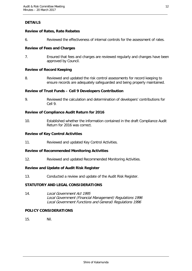### **DETAILS**

#### **Review of Rates, Rate Rebates**

6. Reviewed the effectiveness of internal controls for the assessment of rates.

#### **Review of Fees and Charges**

7. Ensured that fees and charges are reviewed regularly and changes have been approved by Council.

#### **Review of Record Keeping**

8. Reviewed and updated the risk control assessments for record keeping to ensure records are adequately safeguarded and being properly maintained.

#### **Review of Trust Funds – Cell 9 Developers Contribution**

9. Reviewed the calculation and determination of developers' contributions for Cell 9.

#### **Review of Compliance Audit Return for 2016**

10. Established whether the information contained in the draft Compliance Audit Return for 2016 was correct.

#### **Review of Key Control Activities**

11. Reviewed and updated Key Control Activities.

#### **Review of Recommended Monitoring Activities**

12. Reviewed and updated Recommended Monitoring Activities.

#### **Review and Update of Audit Risk Register**

13. Conducted a review and update of the Audit Risk Register.

#### **STATUTORY AND LEGAL CONSIDERATIONS**

14. Local Government Act 1995 Local Government (Financial Management) Regulations 1996 Local Government Functions and General) Regulations 1996

#### **POLICY CONSIDERATIONS**

15. Nil.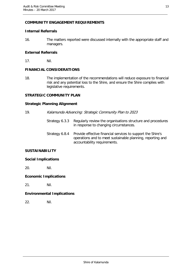#### **COMMUNITY ENGAGEMENT REQUIREMENTS**

#### **Internal Referrals**

16. The matters reported were discussed internally with the appropriate staff and managers.

#### **External Referrals**

17. Nil.

#### **FINANCIAL CONSIDERATIONS**

18. The implementation of the recommendations will reduce exposure to financial risk and any potential loss to the Shire, and ensure the Shire complies with legislative requirements.

#### **STRATEGIC COMMUNITY PLAN**

#### **Strategic Planning Alignment**

19. Kalamunda Advancing: Strategic Community Plan to 2023 Strategy 6.3.3 Regularly review the organisations structure and procedures in response to changing circumstances. Strategy 6.8.4 Provide effective financial services to support the Shire's operations and to meet sustainable planning, reporting and accountability requirements. **SUSTAINABILITY**

## **Social Implications**

20. Nil.

#### **Economic Implications**

21. Nil.

#### **Environmental Implications**

22. Nil.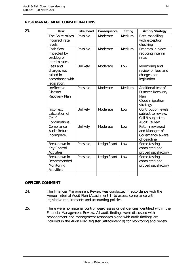#### **RISK MANAGEMENT CONSIDERATIONS**

| 23. | <b>Risk</b>                                                             | Likelihood | Consequence   | Rating | <b>Action/Strategy</b>                                                                 |
|-----|-------------------------------------------------------------------------|------------|---------------|--------|----------------------------------------------------------------------------------------|
|     | The Shire raises<br>incorrect rate<br>levels.                           | Possible   | Moderate      | Medium | Rate modelling<br>with exception<br>checking                                           |
|     | Cash flow<br>impacted by<br>backlog of<br>interim rates                 | Possible   | Moderate      | Medium | Program in place<br>reducing interim<br>rates                                          |
|     | Fees and<br>charges not<br>raised in<br>accordance with<br>legislation. | Unlikely   | Moderate      | Low    | Monitoring and<br>review of fees and<br>charges per<br>legislation.                    |
|     | Ineffective<br><b>Disaster</b><br>Recovery Plan                         | Possible   | Moderate      | Medium | Additional test of<br>Disaster Recovery<br>Plan<br>Cloud migration<br>strategy         |
|     | Incorrect<br>calculation of<br>Cell <sub>9</sub><br>Contributions.      | Unlikely   | Moderate      | Low    | <b>Contribution levels</b><br>subject to review.<br>Cell 9 subject to<br>Audit Review. |
|     | Compliance<br><b>Audit Return</b><br>incomplete                         | Unlikely   | Moderate      | Low    | Return reviewed<br>and Manager of<br>Governance aware<br>of deadline                   |
|     | Breakdown in<br><b>Key Control</b><br><b>Activities</b>                 | Possible   | Insignificant | Low    | Some testing<br>completed and<br>proved satisfactory                                   |
|     | Breakdown in<br>Recommended<br>Monitoring<br><b>Activities</b>          | Possible   | Insignificant | Low    | Some testing<br>completed and<br>proved satisfactory                                   |
|     |                                                                         |            |               |        |                                                                                        |

#### **OFFICER COMMENT**

- 24. The Financial Management Review was conducted in accordance with the Annual Internal Audit Plan (Attachment 1) to assess compliance with legislative requirements and accounting policies.
- 25. There were no material control weaknesses or deficiencies identified within the Financial Management Review. All audit findings were discussed with management and management responses along with audit findings are included in the Audit Risk Register (Attachment 9) for monitoring and review.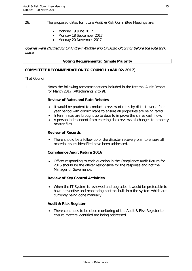26. The proposed dates for future Audit & Risk Committee Meetings are:

- Monday 19 June 2017
- Monday 18 September 2017
- Monday 20 November 2017

Queries were clarified for Cr Andrew Waddell and Cr Dylan O'Connor before the vote took place.

#### **Voting Requirements: Simple Majority**

#### **COMMITTEE RECOMMENDATION TO COUNCIL (A&R 02/2017)**

That Council:

1. Notes the following recommendations included in the Internal Audit Report for March 2017 (Attachments 2 to 9).

#### **Review of Rates and Rate Rebates**

- It would be prudent to conduct a review of rates by district over a four year period with district maps to ensure all properties are being rated.
- Interim rates are brought up to date to improve the shires cash flow.
- A person independent from entering data reviews all changes to property master files.

#### **Review of Records**

There should be a follow up of the disaster recovery plan to ensure all material issues identified have been addressed.

#### **Compliance Audit Return 2016**

• Officer responding to each question in the Compliance Audit Return for 2016 should be the officer responsible for the response and not the Manager of Governance.

#### **Review of Key Control Activities**

• When the IT System is reviewed and upgraded it would be preferable to have preventive and monitoring controls built into the system which are currently being done manually.

#### **Audit & Risk Register**

• There continues to be close monitoring of the Audit & Risk Register to ensure matters identified are being addressed.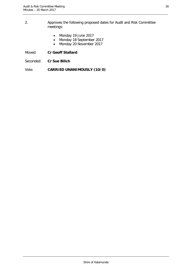- 2. Approves the following proposed dates for Audit and Risk Committee meetings:
	- Monday 19 June 2017
	- Monday 18 September 2017
	- Monday 20 November 2017
- Moved: **Cr Geoff Stallard**
- Seconded: **Cr Sue Bilich**
- Vote: **CARRIED UNANIMOUSLY (10/0)**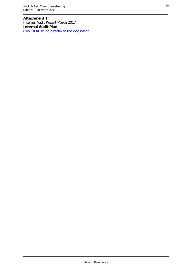**Attachment 1** Internal Audit Report March 2017 **Internal Audit Plan** [Click HERE to go directly to the document](http://www.kalamunda.wa.gov.au/files/e7dee1a9-d4cc-4a2a-8867-a73800c2d471/Item-2-Att-1-AR-20-March-2017.pdf)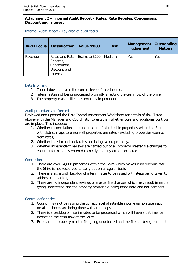#### **Attachment 2 – Internal Audit Report – Rates, Rate Rebates, Concessions, Discount and Interest**

#### Internal Audit Report - Key area of audit focus

| <b>Audit Focus</b> | <b>Classification</b>                                                  | <b>Value \$'000</b> | <b>Risk</b> | Management<br><b>Judgement</b> | Outstanding<br><b>Matters</b> |
|--------------------|------------------------------------------------------------------------|---------------------|-------------|--------------------------------|-------------------------------|
| Revenue            | Rates and Rate<br>Rebates,<br>Concessions,<br>Discount and<br>Interest | Estimate \$100      | Medium      | Yes                            | Yes                           |

#### Details of risk

- 1. Council does not raise the correct level of rate income.
- 2. Interim rates not being processed promptly affecting the cash flow of the Shire.
- 3. The property master file does not remain pertinent.

#### Audit procedures performed

Reviewed and updated the Risk Control Assessment Worksheet for details of risk (listed above) with the Manager and Coordinator to establish whether core and additional controls are in place. This included:

- 1. Whether reconciliations are undertaken of all rateable properties within the Shire with district maps to ensure all properties are rated (excluding properties exempt from rates).
- 2. Whether Interim and back rates are being raised promptly.
- 3. Whether independent reviews are carried out of all property master file changes to ensure information is entered correctly and any errors corrected.

#### **Conclusions**

- 1. There are over 24,000 properties within the Shire which makes it an onerous task the Shire is not resourced to carry out on a regular basis.
- 2. There is a six month backlog of interim rates to be raised with steps being taken to address the backlog.
- 3. There are no independent reviews of master file changes which may result in errors going undetected and the property master file being inaccurate and not pertinent.

#### Control deficiencies

- 1. Council may not be raising the correct level of rateable income as no systematic detailed checks are being done with area maps.
- 2. There is a backlog of interim rates to be processed which will have a detrimental impact on the cash flow of the Shire.
- 3. Errors in the property master file going undetected and the file not being pertinent.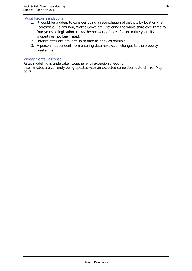#### Audit Recommendations

- 1. It would be prudent to consider doing a reconciliation of districts by location (i.e. Forrestfield, Kalamunda, Wattle Grove etc.) covering the whole shire over three to four years as legislation allows the recovery of rates for up to five years if a property as not been rated.
- 2. Interim rates are brought up to date as early as possible.
- 3. A person independent from entering data reviews all changes to the property master file.

#### Managements Response

Rates modelling is undertaken together with exception checking.

Interim rates are currently being updated with an expected completion date of mid- May 2017.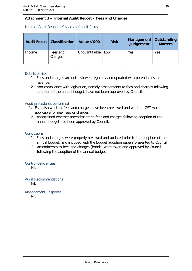#### **Attachment 3 – Internal Audit Report – Fees and Charges**

Internal Audit Report - Key area of audit focus

| <b>Audit Focus</b> | <b>Classification</b> | <b>Value \$'000</b> | <b>Risk</b> | <b>Management</b><br>Judgement | Outstanding<br><b>Matters</b> |
|--------------------|-----------------------|---------------------|-------------|--------------------------------|-------------------------------|
| Income             | Fees and<br>Charges   | Unquantifiable      | Low         | Yes                            | Yes                           |

#### Details of risk

- 1. Fees and charges are not reviewed regularly and updated with potential loss in revenue.
- 2. Non-compliance with legislation, namely amendments to fees and charges following adoption of the annual budget, have not been approved by Council.

#### Audit procedures performed

- 1. Establish whether fees and charges have been reviewed and whether GST was applicable for new fees or charges
- 2. Ascertained whether amendments to fees and charges following adoption of the annual budget had been approved by Council.

#### Conclusions

- 1. Fees and charges were properly reviewed and updated prior to the adoption of the annual budget, and included with the budget adoption papers presented to Council.
- 2. Amendments to fees and charges (bonds) were taken and approved by Council following the adoption of the annual budget.

Control deficiencies

Nil.

Audit Recommendations Nil.

Management Response Nil.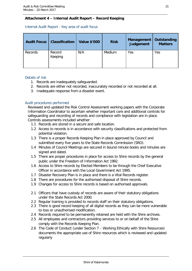#### **Attachment 4 – Internal Audit Report – Record Keeping**

Internal Audit Report - Key area of audit focus

| <b>Audit Focus</b> | <b>Classification</b> | <b>Value \$'000</b> | <b>Risk</b> | Management<br>Judgement | Outstanding<br><b>Matters</b> |
|--------------------|-----------------------|---------------------|-------------|-------------------------|-------------------------------|
| Records            | Record<br>Keeping     | N/A                 | Medium      | Yes                     | Yes                           |

#### Details of risk

- 1. Records are inadequately safeguarded.
- 2. Records are either not recorded, inaccurately recorded or not recorded at all.
- 3. Inadequate response from a disaster event.

#### Audit procedures performed

Reviewed and updated the Risk Control Assessment working papers with the Corporate Information Coordinator to ascertain whether important core and additional controls for safeguarding and recording of records and compliance with legislation are in place. Controls assessments included whether:

- 1.1 Records are stored in a secure and safe location.
- 1.2 Access to records is in accordance with security classifications and protected from potential violation.
- 1.3 There is a proper Records Keeping Plan in place approved by Council and submitted every five years to the State Records Commission (SRO).
- 1.4 Minutes of Council Meetings are secured in bound minute books and minutes are signed and dated.
- 1.5 There are proper procedures in place for access to Shire records by the general public under the Freedom of Information Act 1992.
- 1.6 Access to Shire records by Elected Members to be through the Chief Executive Officer in accordance with the Local Government Act 1995.
- 1.7 Disaster Recovery Plan is in place and there is a Vital Records register.
- 1.8 There are procedures for the authorised disposal of Shire records.
- 1.9 Changes for access to Shire records is based on authorised approvals.
- 2.1 Officers that have custody of records are aware of their statutory obligations under the State Records Act 2000.
- 2.2 Regular training is provided to records staff on their statutory obligations.
- 2.3 There is good record keeping of all digital records as they can be more vulnerable to loss or unauthorised modification.
- 2.4 Records required to be permanently retained are held with the Shire archives.
- 2.5 All employees and contractors providing services to or on behalf of the Shire comply with the Records Keeping Plan.
- 2.6 The Code of Conduct (under Section 7 Working Ethically with Shire Resources) documents the appropriate use of Shire resources which is reviewed and updated regularly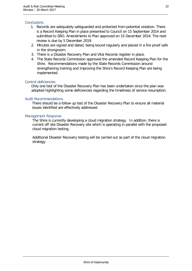#### **Conclusions**

- 1. Records are adequately safeguarded and protected from potential violation. There is a Record Keeping Plan in place presented to Council on 15 September 2014 and submitted to SRO. Amendments to Plan approved on 15 December 2014. The next review is due by 5 December 2019.
- 2. Minutes are signed and dated, being bound regularly and placed in a fire proof safe in the strongroom.
- 3. There is a Disaster Recovery Plan and Vital Records register in place.
- 4. The State Records Commission approved the amended Record Keeping Plan for the Shire. Recommendations made by the State Records Commission around strengthening training and improving the Shire's Record Keeping Plan are being implemented.

#### Control deficiencies

Only one test of the Disaster Recovery Plan has been undertaken since the plan was adopted highlighting some deficiencies regarding the timeliness of service resumption.

#### Audit Recommendations

There should be a follow up test of the Disaster Recovery Plan to ensure all material issues identified are effectively addressed.

#### Management Response

The Shire is currently developing a cloud migration strategy. In addition, there is current off site Disaster Recovery site which is operating in parallel with the proposed cloud migration testing.

Additional Disaster Recovery testing will be carried out as part of the cloud migration strategy.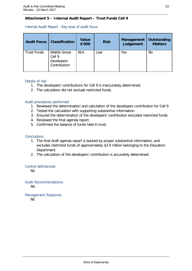#### **Attachment 5 – Internal Audit Report – Trust Funds Cell 9**

#### Internal Audit Report - Key area of audit focus

| <b>Audit Focus</b> | <b>Classification</b>                                                  | <b>Value</b><br>\$'000 | <b>Risk</b> | Management<br><b>Judgement</b> | Outstanding<br><b>Matters</b> |
|--------------------|------------------------------------------------------------------------|------------------------|-------------|--------------------------------|-------------------------------|
| <b>Trust Funds</b> | <b>Wattle Grove</b><br>Cell <sub>9</sub><br>Developers<br>Contribution | N/A                    | ∟OW         | Yes                            | No                            |

#### Details of risk

- 1. The developers' contributions for Cell 9 is inaccurately determined.
- 2. The calculation did not exclude restricted funds.

#### Audit procedures performed

- 1. Reviewed the determination and calculation of the developers contribution for Cell 9
- 2. Tested the calculation with supporting substantive information.
- 3. Ensured the determination of the developers' contribution excluded restricted funds.
- 4. Reviewed the final agenda report.
- 5. Confirmed the balance of funds held in trust.

#### **Conclusions**

- 1. The final draft agenda report is backed by proper substantive information, and excludes restricted funds of approximately \$3.9 million belonging to the Education Department.
- 2. The calculation of the developers' contribution is accurately determined.

#### Control deficiencies

Nil.

Audit Recommendations Nil.

Management Response Nil.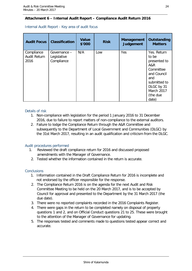#### **Attachment 6 – Internal Audit Report – Compliance Audit Return 2016**

| <b>Audit Focus</b>                 | <b>Classification</b>                     | <b>Value</b><br>\$'000 | <b>Risk</b> | <b>Management</b><br><b>Judgement</b> | <b>Outstanding</b><br><b>Matters</b>                                                                                                            |
|------------------------------------|-------------------------------------------|------------------------|-------------|---------------------------------------|-------------------------------------------------------------------------------------------------------------------------------------------------|
| Compliance<br>Audit Return<br>2016 | Governance –<br>Legislative<br>Compliance | N/A                    | Low         | Yes                                   | Yes. Return<br>to be<br>presented to<br>A&R<br>Committee<br>and Council<br>and<br>submitted to<br>DLGC by 31<br>March 2017<br>(the due<br>date) |

Internal Audit Report - Key area of audit focus

#### Details of risk

- 1. Non-compliance with legislation for the period 1 January 2016 to 31 December 2016, due to failure to report matters of non-compliance to the external auditors.
- 2. Failure to lodge the Compliance Return through the A&R Committee and subsequently to the Department of Local Government and Communities (DLGC) by the 31st March 2017, resulting in an audit qualification and criticism from the DLGC.

#### Audit procedures performed

- 1. Reviewed the draft compliance return for 2016 and discussed proposed amendments with the Manager of Governance.
- 2. Tested whether the information contained in the return is accurate.

#### **Conclusions**

- 1. Information contained in the Draft Compliance Return for 2016 is incomplete and not endorsed by the officer responsible for the response.
- 2. The Compliance Return 2016 is on the agenda for the next Audit and Risk Committee Meeting to be held on the 20 March 2017, and is to be accepted by Council for approval and presented to the Department by the 31 March 2017 (the due date).
- 3. There were no reported complaints recorded in the 2016 Complaints Register.
- 4. There were gaps in the return to be completed namely on disposal of property questions 1 and 2, and on Official Conduct questions 21 to 25. These were brought to the attention of the Manager of Governance for updating.
- 5. The responses tested and comments made to questions tested appear correct and accurate.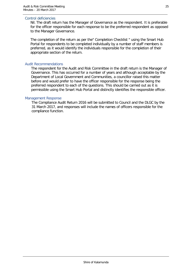#### Control deficiencies

Nil. The draft return has the Manager of Governance as the respondent. It is preferable for the officer responsible for each response to be the preferred respondent as opposed to the Manager Governance.

The completion of the return as per the" Completion Checklist " using the Smart Hub Portal for respondents to be completed individually by a number of staff members is preferred, as it would identify the individuals responsible for the completion of their appropriate section of the return.

#### Audit Recommendations

The respondent for the Audit and Risk Committee in the draft return is the Manager of Governance. This has occurred for a number of years and although acceptable by the Department of Local Government and Communities, a councillor raised this matter before and would prefer to have the officer responsible for the response being the preferred respondent to each of the questions. This should be carried out as it is permissible using the Smart Hub Portal and distinctly identifies the responsible officer.

#### Management Response

The Compliance Audit Return 2016 will be submitted to Council and the DLGC by the 31 March 2017, and responses will include the names of officers responsible for the compliance function.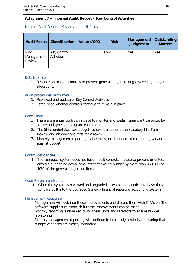#### **Attachment 7 – Internal Audit Report – Key Control Activities**

#### Internal Audit Report - Key area of audit focus

| <b>Audit Focus</b>                  | <b>Classification</b>     | <b>Value \$'000</b> | <b>Risk</b> | Management<br>Judgement | Outstanding<br><b>Matters</b> |
|-------------------------------------|---------------------------|---------------------|-------------|-------------------------|-------------------------------|
| <b>Risk</b><br>Management<br>Review | Key Control<br>Activities |                     | Low         | Yes                     | Yes                           |

#### Details of risk

1. Reliance on manual controls to prevent general ledger postings exceeding budget allocations.

#### Audit procedures performed

- 1. Reviewed and update of Key Control Activities.
- 2. Established whether controls continue to remain in place.

#### **Conclusions**

- 1. There are manual controls in place to monitor and explain significant variances by nature and type and program each month
- 2. The Shire undertakes two budget reviews per annum, the Statutory Mid Term Review and an additional first term review.
- 3. Monthly management reporting by business unit is undertaken reporting variances against budget.

#### Control deficiencies

1. The computer system does not have inbuilt controls in place to prevent or detect errors e.g. flagging actual amounts that exceed budget by more than \$50,000 or 10% of the general ledger line item.

#### Audit Recommendations

1. When the system is reviewed and upgraded, it would be beneficial to have these controls built into the upgraded Synergy financial reporting accounting system.

#### Management Response

Management will look into these improvements and discuss them with IT Vision (the software supplier) to establish if these improvements can be made. Monthly reporting is reviewed by business units and Directors to ensure budget monitoring.

Monthly management reporting will continue to be closely scrutinised ensuring that budget variances are closely monitored.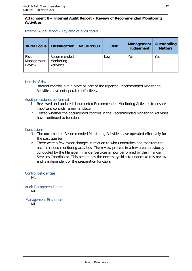#### **Attachment 8 – Internal Audit Report – Review of Recommended Monitoring Activities**

#### Internal Audit Report - Key area of audit focus

| <b>Audit Focus</b>                  | <b>Classification</b>                          | <b>Value \$'000</b> | <b>Risk</b> | <b>Management</b><br>Judgement | Outstanding<br><b>Matters</b> |
|-------------------------------------|------------------------------------------------|---------------------|-------------|--------------------------------|-------------------------------|
| <b>Risk</b><br>Management<br>Review | Recommended<br>Monitoring<br><b>Activities</b> |                     | Low         | Yes                            | Yes                           |

#### Details of risk

1. Internal controls put in place as part of the reported Recommended Monitoring Activities have not operated effectively.

#### Audit procedures performed

- 1. Reviewed and updated documented Recommended Monitoring Activities to ensure important controls remain in place.
- 2. Tested whether the documented controls in the Recommended Monitoring Activities have continued to function.

#### **Conclusions**

- 1. The documented Recommended Monitoring Activities have operated effectively for the past quarter.
- 2. There were a few minor changes in relation to who undertakes and monitors the recommended monitoring activities. The review process in a few areas previously conducted by the Manager Financial Services is now performed by the Financial Services Coordinator. This person has the necessary skills to undertake this review and is independent of the preparation function.

#### Control deficiencies

Nil.

Audit Recommendations Nil.

Management Response Nil.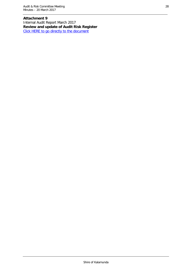**Attachment 9** Internal Audit Report March 2017 **Review and update of Audit Risk Register** [Click HERE to go directly to the document](http://www.kalamunda.wa.gov.au/files/3e640acd-fc42-4269-a1c6-a73800c2fc6a/Item-2-Att-9-AR-20-March-2017.pdf)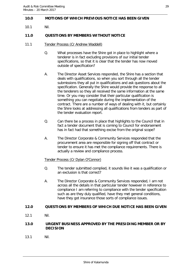#### <span id="page-28-0"></span>**10.0 MOTIONS OF WHICH PREVIOUS NOTICE HAS BEEN GIVEN**

10.1 Nil.

#### <span id="page-28-1"></span>**11.0 QUESTIONS BY MEMBERS WITHOUT NOTICE**

- 11.1 Tender Process (Cr Andrew Waddell)
	- Q. What processes have the Shire got in place to highlight where a tenderer is in fact excluding provisions of our initial tender specifications, so that it is clear that the tender has now moved outside of specification?
	- A. The Director Asset Services responded, the Shire has a section that deals with qualifications, so when you sort through all the tender submissions they all put in qualifications and ask questions about the specification. Generally the Shire would provide the response to all the tenderers so they all received the same information at the same time. Or you may consider that their particular qualification is something you can negotiate during the implementation of the contract. There are a number of ways of dealing with it, but certainly the Shire looks at addressing all qualifications from tenders as part of the tender evaluation report.
	- Q. Can there be a process in place that highlights to the Council that in fact a tender document that is coming to Council for endorsement has in fact had that something excise from the original scope?
	- A. The Director Corporate & Community Services responded that the procurement area are responsible for signing off that contract or tender to ensure it has met the compliance requirements. There is actually a review and compliance process.

#### Tender Process (Cr Dylan O'Connor)

- Q. The tender submitted complied, it sounds like it was a qualification or an exclusion is that correct?
- A. The Director Corporate & Community Services responded, I am not across all the details in that particular tender however in reference to compliance I am referring to compliance with the tender specification such as are they duly qualified, have they met general conditions, have they got insurance those sorts of compliance issues.

#### <span id="page-28-2"></span>**12.0 QUESTIONS BY MEMBERS OF WHICH DUE NOTICE HAS BEEN GIVEN**

12.1 Nil.

#### <span id="page-28-3"></span>**13.0 URGENT BUSINESS APPROVED BY THE PRESIDING MEMBER OR BY DECISION**

13.1 Nil.